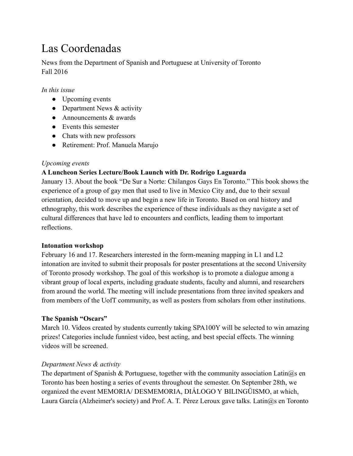# Las Coordenadas

News from the Department of Spanish and Portuguese at University of Toronto Fall 2016

### *In this issue*

- Upcoming events
- Department News  $&$  activity
- $\bullet$  Announcements  $\&$  awards
- Events this semester
- Chats with new professors
- Retirement: Prof. Manuela Marujo

#### *Upcoming events*

### **A Luncheon Series Lecture/Book Launch with Dr. Rodrigo Laguarda**

January 13. About the book "De Sur a Norte: Chilangos Gays En Toronto." This book shows the experience of a group of gay men that used to live in Mexico City and, due to their sexual orientation, decided to move up and begin a new life in Toronto. Based on oral history and ethnography, this work describes the experience of these individuals as they navigate a set of cultural differences that have led to encounters and conflicts, leading them to important reflections.

#### **Intonation workshop**

February 16 and 17. Researchers interested in the form-meaning mapping in L1 and L2 intonation are invited to submit their proposals for poster presentations at the second University of Toronto prosody workshop. The goal of this workshop is to promote a dialogue among a vibrant group of local experts, including graduate students, faculty and alumni, and researchers from around the world. The meeting will include presentations from three invited speakers and from members of the UofT community, as well as posters from scholars from other institutions.

#### **The Spanish "Oscars"**

March 10. Videos created by students currently taking SPA100Y will be selected to win amazing prizes! Categories include funniest video, best acting, and best special effects. The winning videos will be screened.

#### *Department News & activity*

The department of Spanish & Portuguese, together with the community association Latin $\omega$ s en Toronto has been hosting a series of events throughout the semester. On September 28th, we organized the event MEMORIA/ DESMEMORIA, DIÁLOGO Y BILINGÜISMO, at which, Laura García (Alzheimer's society) and Prof. A. T. Pérez Leroux gave talks. Latin $@s$  en Toronto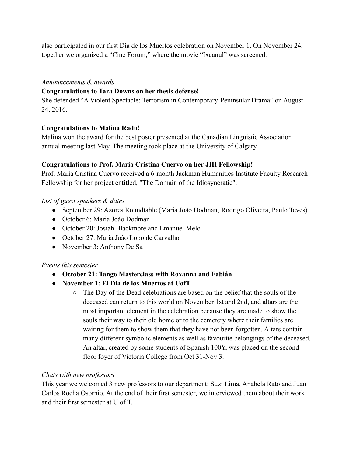also participated in our first Día de los Muertos celebration on November 1. On November 24, together we organized a "Cine Forum," where the movie "Ixcanul" was screened.

#### *Announcements & awards*

#### **Congratulations to Tara Downs on her thesis defense!**

She defended "A Violent Spectacle: Terrorism in Contemporary Peninsular Drama" on August 24, 2016.

### **Congratulations to Malina Radu!**

Malina won the award for the best poster presented at the Canadian Linguistic Association annual meeting last May. The meeting took place at the University of Calgary.

### **Congratulations to Prof. María Cristina Cuervo on her JHI Fellowship!**

Prof. María Cristina Cuervo received a 6-month Jackman Humanities Institute Faculty Research Fellowship for her project entitled, "The Domain of the Idiosyncratic".

### *List of guest speakers & dates*

- September 29: Azores Roundtable (Maria João Dodman, Rodrigo Oliveira, Paulo Teves)
- October 6: Maria João Dodman
- October 20: Josiah Blackmore and Emanuel Melo
- October 27: Maria João Lopo de Carvalho
- November 3: Anthony De Sa

## *Events this semester*

- **● October 21: Tango Masterclass with Roxanna and Fabián**
- **● November 1: El Día de los Muertos at UofT**
	- The Day of the Dead celebrations are based on the belief that the souls of the deceased can return to this world on November 1st and 2nd, and altars are the most important element in the celebration because they are made to show the souls their way to their old home or to the cemetery where their families are waiting for them to show them that they have not been forgotten. Altars contain many different symbolic elements as well as favourite belongings of the deceased. An altar, created by some students of Spanish 100Y, was placed on the second floor foyer of Victoria College from Oct 31-Nov 3.

#### *Chats with new professors*

This year we welcomed 3 new professors to our department: Suzi Lima, Anabela Rato and Juan Carlos Rocha Osornio. At the end of their first semester, we interviewed them about their work and their first semester at U of T.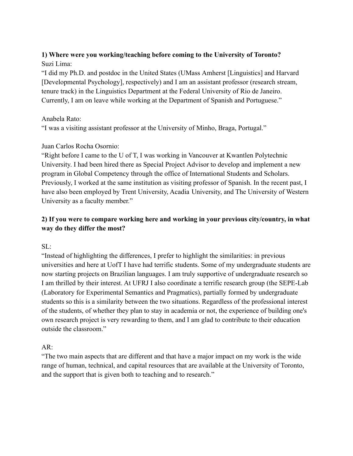# **1) Where were you working/teaching before coming to the University of Toronto?** Suzi Lima:

"I did my Ph.D. and postdoc in the United States (UMass Amherst [Linguistics] and Harvard [Developmental Psychology], respectively) and I am an assistant professor (research stream, tenure track) in the Linguistics Department at the Federal University of Rio de Janeiro. Currently, I am on leave while working at the Department of Spanish and Portuguese."

### Anabela Rato:

"I was a visiting assistant professor at the University of Minho, Braga, Portugal."

## Juan Carlos Rocha Osornio:

"Right before I came to the U of T, I was working in Vancouver at Kwantlen Polytechnic University. I had been hired there as Special Project Advisor to develop and implement a new program in Global Competency through the office of International Students and Scholars. Previously, I worked at the same institution as visiting professor of Spanish. In the recent past, I have also been employed by Trent University, Acadia University, and The University of Western University as a faculty member."

# **2) If you were to compare working here and working in your previous city/country, in what way do they differ the most?**

SL:

"Instead of highlighting the differences, I prefer to highlight the similarities: in previous universities and here at UofT I have had terrific students. Some of my undergraduate students are now starting projects on Brazilian languages. I am truly supportive of undergraduate research so I am thrilled by their interest. At UFRJ I also coordinate a terrific research group (the SEPE-Lab (Laboratory for Experimental Semantics and Pragmatics), partially formed by undergraduate students so this is a similarity between the two situations. Regardless of the professional interest of the students, of whether they plan to stay in academia or not, the experience of building one's own research project is very rewarding to them, and I am glad to contribute to their education outside the classroom."

## AR:

"The two main aspects that are different and that have a major impact on my work is the wide range of human, technical, and capital resources that are available at the University of Toronto, and the support that is given both to teaching and to research."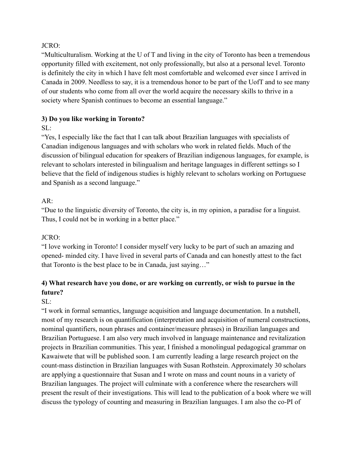### JCRO:

"Multiculturalism. Working at the U of T and living in the city of Toronto has been a tremendous opportunity filled with excitement, not only professionally, but also at a personal level. Toronto is definitely the city in which I have felt most comfortable and welcomed ever since I arrived in Canada in 2009. Needless to say, it is a tremendous honor to be part of the UofT and to see many of our students who come from all over the world acquire the necessary skills to thrive in a society where Spanish continues to become an essential language."

# **3) Do you like working in Toronto?**

## $SI:$

"Yes, I especially like the fact that I can talk about Brazilian languages with specialists of Canadian indigenous languages and with scholars who work in related fields. Much of the discussion of bilingual education for speakers of Brazilian indigenous languages, for example, is relevant to scholars interested in bilingualism and heritage languages in different settings so I believe that the field of indigenous studies is highly relevant to scholars working on Portuguese and Spanish as a second language."

# AR:

"Due to the linguistic diversity of Toronto, the city is, in my opinion, a paradise for a linguist. Thus, I could not be in working in a better place."

## JCRO:

"I love working in Toronto! I consider myself very lucky to be part of such an amazing and opened- minded city. I have lived in several parts of Canada and can honestly attest to the fact that Toronto is the best place to be in Canada, just saying…"

# **4) What research have you done, or are working on currently, or wish to pursue in the future?**

## $SL^+$

"I work in formal semantics, language acquisition and language documentation. In a nutshell, most of my research is on quantification (interpretation and acquisition of numeral constructions, nominal quantifiers, noun phrases and container/measure phrases) in Brazilian languages and Brazilian Portuguese. I am also very much involved in language maintenance and revitalization projects in Brazilian communities. This year, I finished a monolingual pedagogical grammar on Kawaiwete that will be published soon. I am currently leading a large research project on the count-mass distinction in Brazilian languages with Susan Rothstein. Approximately 30 scholars are applying a questionnaire that Susan and I wrote on mass and count nouns in a variety of Brazilian languages. The project will culminate with a conference where the researchers will present the result of their investigations. This will lead to the publication of a book where we will discuss the typology of counting and measuring in Brazilian languages. I am also the co-PI of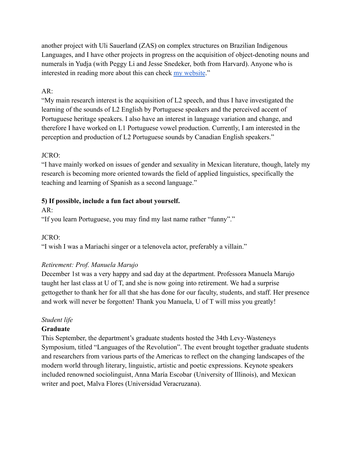another project with Uli Sauerland (ZAS) on complex structures on Brazilian Indigenous Languages, and I have other projects in progress on the acquisition of object-denoting nouns and numerals in Yudja (with Peggy Li and Jesse Snedeker, both from Harvard). Anyone who is interested in reading more about this can check my [website](http://suzilinguist.wordpress.com.)."

## $AR:$

"My main research interest is the acquisition of L2 speech, and thus I have investigated the learning of the sounds of L2 English by Portuguese speakers and the perceived accent of Portuguese heritage speakers. I also have an interest in language variation and change, and therefore I have worked on L1 Portuguese vowel production. Currently, I am interested in the perception and production of L2 Portuguese sounds by Canadian English speakers."

# JCRO:

"I have mainly worked on issues of gender and sexuality in Mexican literature, though, lately my research is becoming more oriented towards the field of applied linguistics, specifically the teaching and learning of Spanish as a second language."

# **5) If possible, include a fun fact about yourself.**

# AR:

"If you learn Portuguese, you may find my last name rather "funny"."

## JCRO:

"I wish I was a Mariachi singer or a telenovela actor, preferably a villain."

## *Retirement: Prof. Manuela Marujo*

December 1st was a very happy and sad day at the department. Professora Manuela Marujo taught her last class at U of T, and she is now going into retirement. We had a surprise gettogether to thank her for all that she has done for our faculty, students, and staff. Her presence and work will never be forgotten! Thank you Manuela, U of T will miss you greatly!

## *Student life*

## **Graduate**

This September, the department's graduate students hosted the 34th Levy-Wasteneys Symposium, titled "Languages of the Revolution". The event brought together graduate students and researchers from various parts of the Americas to reflect on the changing landscapes of the modern world through literary, linguistic, artistic and poetic expressions. Keynote speakers included renowned sociolinguist, Anna María Escobar (University of Illinois), and Mexican writer and poet, Malva Flores (Universidad Veracruzana).